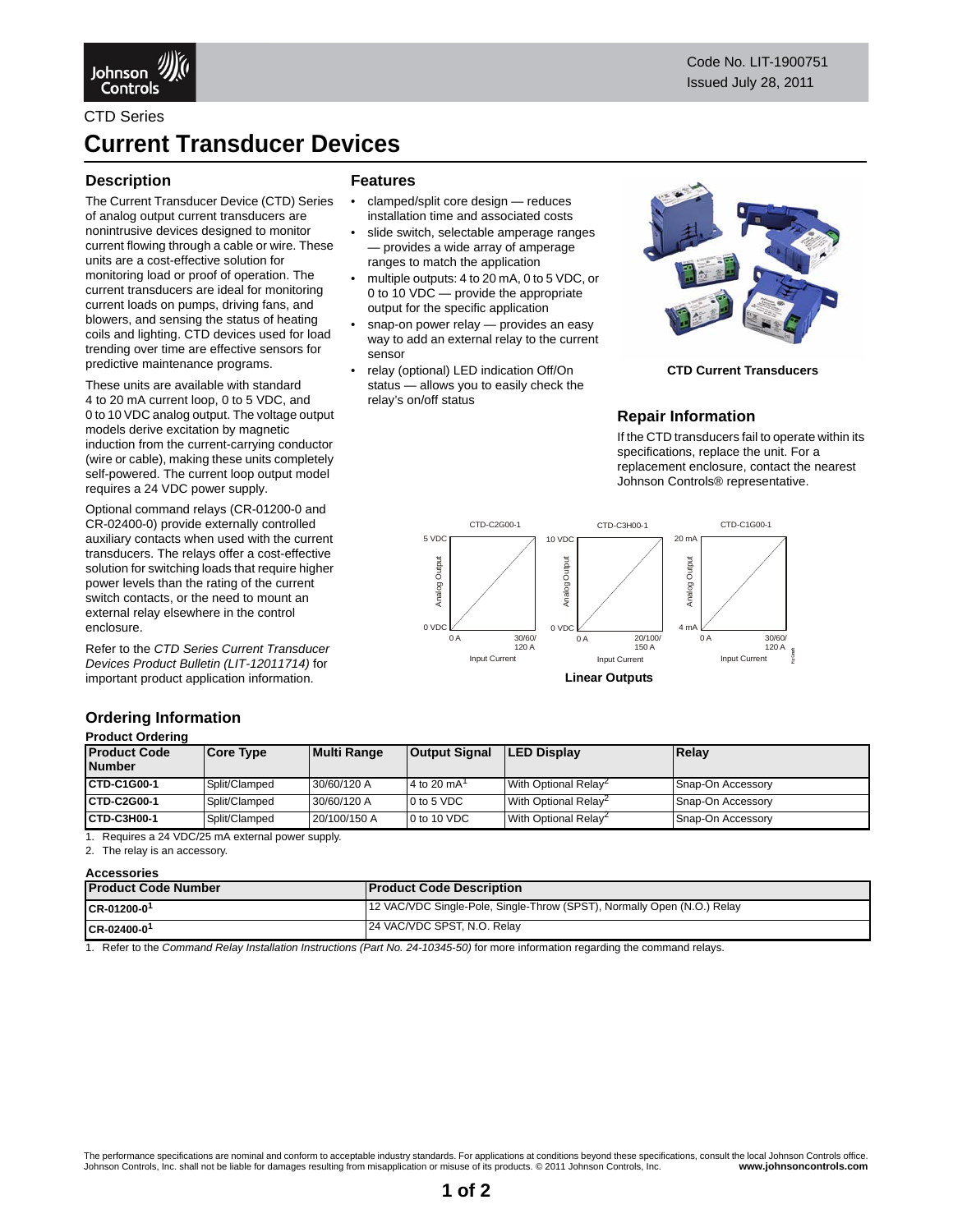



CTD Series

# **Current Transducer Devices**

**Features**

sensor

relay's on/off status

• clamped/split core design — reduces installation time and associated costs slide switch, selectable amperage ranges — provides a wide array of amperage ranges to match the application

• multiple outputs: 4 to 20 mA, 0 to 5 VDC, or 0 to 10 VDC — provide the appropriate output for the specific application snap-on power relay - provides an easy way to add an external relay to the current

• relay (optional) LED indication Off/On status — allows you to easily check the

### **Description**

The Current Transducer Device (CTD) Series of analog output current transducers are nonintrusive devices designed to monitor current flowing through a cable or wire. These units are a cost-effective solution for monitoring load or proof of operation. The current transducers are ideal for monitoring current loads on pumps, driving fans, and blowers, and sensing the status of heating coils and lighting. CTD devices used for load trending over time are effective sensors for predictive maintenance programs.

These units are available with standard 4 to 20 mA current loop, 0 to 5 VDC, and 0 to 10 VDC analog output. The voltage output models derive excitation by magnetic induction from the current-carrying conductor (wire or cable), making these units completely self-powered. The current loop output model requires a 24 VDC power supply.

Optional command relays (CR-01200-0 and CR-02400-0) provide externally controlled auxiliary contacts when used with the current transducers. The relays offer a cost-effective solution for switching loads that require higher power levels than the rating of the current switch contacts, or the need to mount an external relay elsewhere in the control enclosure.

Refer to the *CTD Series Current Transducer Devices Product Bulletin (LIT-12011714)* for important product application information.

### **Ordering Information Product Ordering**

### **Product Code Number Core Type Multi Range Output Signal LED Display Relay CTD-C1G00-1** Split/Clamped 30/60/120 A 4 to 20 mA With Optional Relay<sup>2</sup> Snap-On Accessory **CTD-C2G00-1** Split/Clamped 30/60/120 A 0 to 5 VDC With Optional Relay<sup>2</sup> Snap-On Accessory **CTD-C3H00-1** Split/Clamped 20/100/150 A 0 to 10 VDC With Optional Relay<sup>2</sup> Snap-On Accessory

1. Requires a 24 VDC/25 mA external power supply.

<span id="page-0-0"></span>2. The relay is an accessory.

| <b>Accessories</b>         |                                                                         |  |  |  |
|----------------------------|-------------------------------------------------------------------------|--|--|--|
| <b>Product Code Number</b> | <b>Product Code Description</b>                                         |  |  |  |
| $ICR-01200-0$ <sup>1</sup> | 12 VAC/VDC Single-Pole, Single-Throw (SPST), Normally Open (N.O.) Relay |  |  |  |
| $CR - 02400 - 01$          | 24 VAC/VDC SPST, N.O. Relay                                             |  |  |  |

1. Refer to the *Command Relay Installation Instructions (Part No. 24-10345-50)* for more information regarding the command relays.



**CTD Current Transducers**

## **Repair Information**

If the CTD transducers fail to operate within its specifications, replace the unit. For a replacement enclosure, contact the nearest Johnson Controls® representative.



**Linear Outputs**